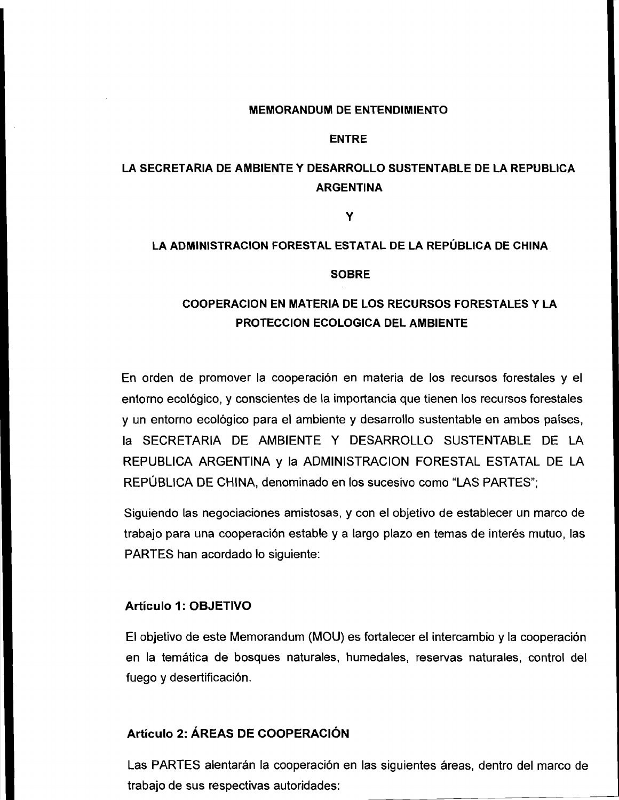#### MEMORANDUM DE ENTENDIMIENTO

#### ENTRE

## LA SECRETARIA DE AMBIENTE Y DESARROLLO SUSTENTABLE DE LA REPUBLlCA ARGENTINA

y

### LA ADMINISTRACION FORESTAL ESTATAL DE LA REPÚBLICA DE CHINA

#### **SOBRE**

## COOPERACION EN MATERIA DE LOS RECURSOS FORESTALES Y LA PROTECCION ECOLOGICA DEL AMBIENTE

En orden de promover la cooperación en materia de los recursos forestales y el entorno ecológico, y conscientes de la importancia que tienen los recursos forestales y un entorno ecológico para el ambiente y desarrollo sustentable en ambos países, la SECRETARIA DE AMBIENTE Y DESARROLLO SUSTENTABLE DE LA REPUBLlCA ARGENTINA y la ADMINISTRACION FORESTAL ESTATAL DE LA REPÚBLICA DE CHINA, denominado en los sucesivo como "LAS PARTES";

Siguiendo las negociaciones amistosas, y con el objetivo de establecer un marco de trabajo para una cooperación estable y a largo plazo en temas de interés mutuo, las PARTES han acordado lo siguiente:

### Artículo 1: OBJETIVO

El objetivo de este Memorandum (MOU) es fortalecer el intercambio y la cooperación en la temática de bosques naturales, humedales, reservas naturales, control del fuego y desertificación.

## Artículo 2: ÁREAS DE COOPERACiÓN

Las PARTES alentarán la cooperación en las siguientes áreas, dentro del marco de trabajo de sus respectivas autoridades: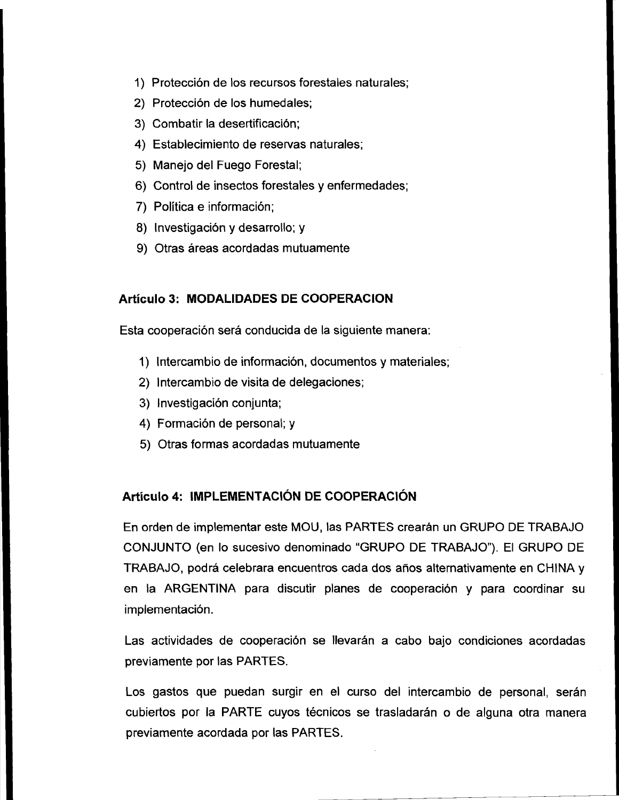- 1) Protección de los recursos forestales naturales;
- 2) Protección de los humedales;
- 3) Combatir la desertificación;
- 4) Establecimiento de reservas naturales;
- 5) Manejo del Fuego Forestal;
- 6) Control de insectos forestales y enfermedades;
- 7) Política e información;
- 8) Investigación y desarrollo; y
- 9) Otras áreas acordadas mutuamente

### **Artículo 3: MODALIDADES DE COOPERACION**

Esta cooperación será conducida de la siguiente manera:

- 1) Intercambio de información, documentos y materiales;
- 2) Intercambio de visita de delegaciones;
- 3) Investigación conjunta;
- 4) Formación de personal; y
- 5) Otras formas acordadas mutuamente

## **Artículo 4: IMPLEMENTACiÓN DE COOPERACiÓN**

En orden de implementar este MOU, las PARTES crearán un GRUPO DE TRABAJO CONJUNTO (en lo sucesivo denominado "GRUPO DE TRABAJO"). El GRUPO DE TRABAJO, podrá celebrara encuentros cada dos años alternativamente en CHINA y en la ARGENTINA para discutir planes de cooperación y para coordinar su implementación.

Las actividades de cooperación se llevarán a cabo bajo condiciones acordadas previamente por las PARTES.

Los gastos que puedan surgir en el curso del intercambio de personal, serán cubiertos por la PARTE cuyos técnicos se trasladarán o de alguna otra manera previamente acordada por las PARTES.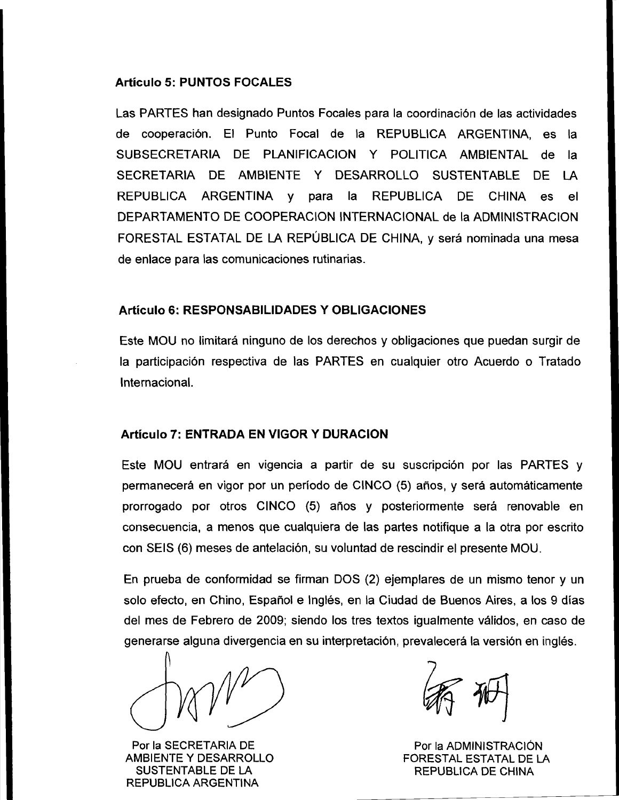#### **Artículo 5: PUNTOS FOCALES**

Las PARTES han designado Puntos Focales para la coordinación de las actividades de cooperación. **El** Punto Focal de la REPUBLlCA ARGENTINA, es la SUBSECRETARIA DE PLANIFICACION y POLlTICA AMBIENTAL de la SECRETARIA DE AMBIENTE Y DESARROLLO SUSTENTABLE DE LA REPUBLlCA ARGENTINA y para la REPUBLlCA DE CHINA es el DEPARTAMENTO DE COOPERACION INTERNACIONAL de la ADMINISTRACION FORESTAL ESTATAL DE LA REPÚBLICA DE CHINA, Y será nominada una mesa de enlace para las comunicaciones rutinarias.

#### **Artículo 6: RESPONSABILIDADES Y OBLIGACIONES**

Este MOU no limitará ninguno de los derechos y obligaciones que puedan surgir de la participación respectiva de las PARTES en cualquier otro Acuerdo o Tratado Internacional.

### **Artículo 7: ENTRADA EN VIGOR Y DURACION**

Este MOU entrará en vigencia a partir de su suscripción por las PARTES y permanecerá en vigor por un período de CINCO (5) años, y será automáticamente prorrogado por otros CINCO (5) años y posteriormente será renovable en consecuencia, a menos que cualquiera de las partes notifique a la otra por escrito con SEIS (6) meses de antelación, su voluntad de rescindir el presente MOU.

En prueba de conformidad se firman DOS (2) ejemplares de un mismo tenor y un solo efecto, en Chino, Español e Inglés, en la Ciudad de Buenos Aires, a los 9 días del mes de Febrero de 2009; siendo los tres textos igualmente válidos, en caso de generarse alguna divergencia en su interpretación, prevalecerá la versión en inglés.

Por la SECRETARIA DE AMBIENTE Y DESARROLLO SUSTENTABLE DE LA REPUBLlCA ARGENTINA

Por la ADMINISTRACiÓN FORESTAL ESTATAL DE LA REPUBLlCA DE CHINA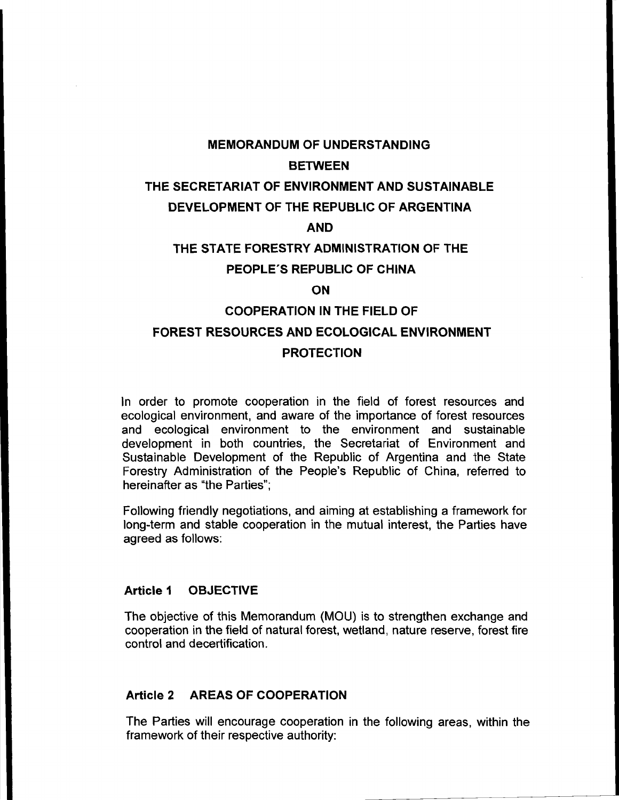#### **MEMORANDUM OF UNDERSTANDING**

### **BETWEEN**

# **THE SECRETARIAT OF ENVIRONMENT AND SUSTAINABLE**

## **DEVELOPMENT OF THE REPUBLlC OF ARGENTINA**

#### **AND**

### **THE STATE FORESTRY ADMINISTRATION OF THE**

### **PEOPLE'S REPUBLlC OF CHINA**

## **ON**

### **COOPERATION IN THE FIELD OF**

## **FOREST RESOURCES AND ECOLOGICAL ENVIRONMENT PROTECTION**

In order to promote cooperation in the field of forest resources and ecological environment, and aware of the importance of forest resources and ecological environment to the environment and sustainable development in both countries, the Secretariat of Environment and Sustainable Development of the Republic of Argentina and the State Forestry Administration of the People's Republic of China, referred to hereinafter as "the Parties";

Following friendly negotiations, and aiming at establishing a framework for long-term and stable cooperation in the mutual interest, the Parties have agreed as follows:

### **Article 1 OBJECTIVE**

The objective of this Memorandum (MOU) is to strengthen exchange and cooperation in the field of natural forest, wetland, nature reserve, forest fire control and decertification.

## **Article 2 AREAS OF COOPERATION**

The Parties will encourage cooperation in the following areas, within the framework of their respective authority: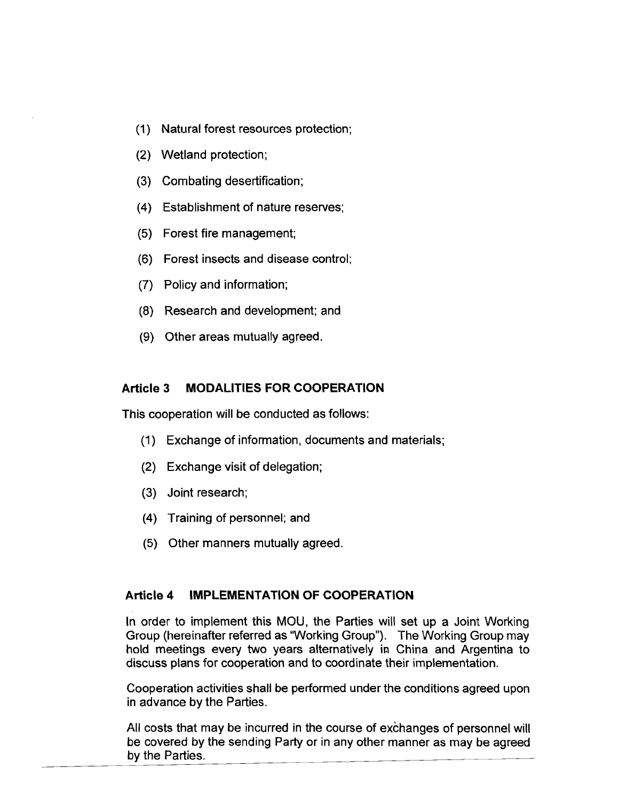- (1) Natural forest resources protection;
- (2) Wetland protection;
- (3) Combating desertification;
- (4) Establishment of nature reserves;
- (5) Forest fire management;
- (6) Forest insects and disease control;
- (7) Policy and information;
- (8) Research and development; and
- (9) Other areas mutually agreed.

### **Article 3 MODALlTIES FOR COOPERATION**

This cooperation will be conducted as follows:

- (1) Exchange of informatlon, documents and materials;
- (2) Exchange visit of delegation;
- (3) Joint research;
- (4) Training of personnel; and
- (5) Other manners mutually agreed.

#### **Article 4 IMPLEMENTATION OF COOPERATION**

In order to implement this MOU, the Partíes will set up a Joint Working Group (hereinafter referred as "Working Group"). The Working Group may hold meetings every two years alternatively in China and Argentina to discuss plans for cooperation and to coordínate their implementation.

Cooperation activities shall be performed under the conditions agreed upon in advance by the Parties.

AII costs that may be incurred in the course of exchanqes of personnel will be covered by the sending Party or in any other manner as may be agreed by the Parties.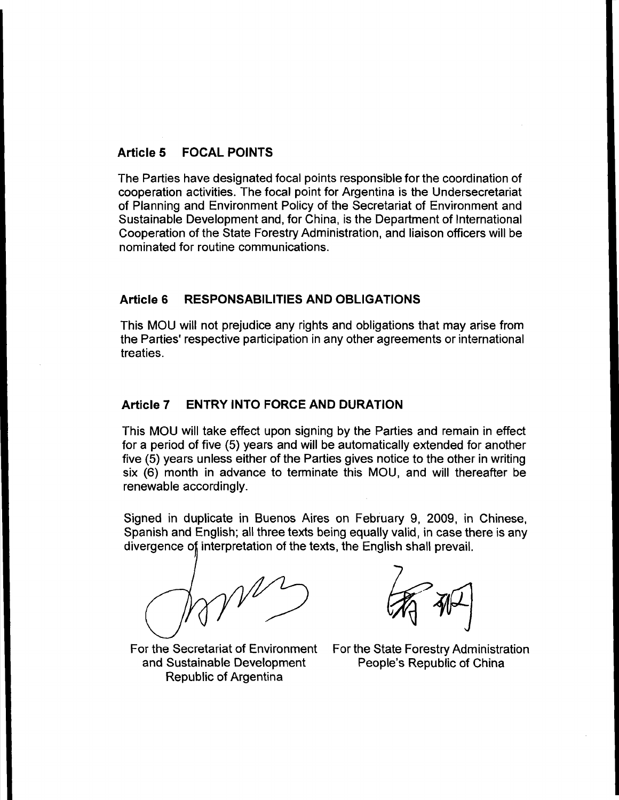## **Article 5 FOCAL POINTS**

The Parties have designated focal points responsible for the coordination of cooperation activities. The focal point for Argentina is the Undersecretariat of Planning and Environment Policy of the Secretariat of Environment and Sustainable Development and, for China, is the Department of International Cooperation of the State Forestry Administration, and liaison officers will be nominated for routine communications.

### **Article 6 RESPONSABILlTIES ANO OBLlGATIONS**

This MOU will not prejudice any rights and obligations that may arise from the Parties' respective participation in any other agreements or international treaties.

## **Article 7 ENTRY INTO FORCE ANO OURATION**

This MOU will take effect upon signing by the Parties and remain in effect for a period of five (5) years and will be automatically extended for another five (5) years unless either of the Parties gives notice to the other in writing six (6) month in advance to termínate this MOU, and will thereafter be renewable accordingly.

Signed in duplicate in Buenos Aires on February 9, 2009, in Chinese, Spanish and English; all three texts being equally valid, in case there is any divergence of interpretation of the texts, the English shall prevail.

For the Secretariat of Environment and Sustainable Development Republic of Argentina

For the State Forestry Administration People's Republic of China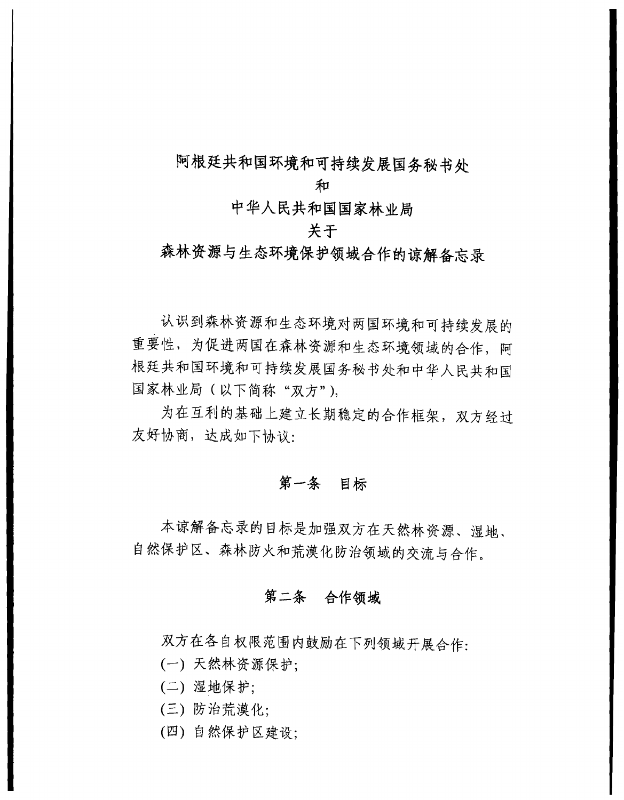阿根廷共和国环境和可持续发展国务秘书处

和

中华人民共和国国家林业局

## 关于

森林资源与生态环境保护领域合作的谅解备忘录

认识到森林资源和生态环境对两国环境和可持续发展的 重要性,为促进两国在森林资源和生态环境领域的合作,阿 根廷共和国环境和可持续发展国务秘书处和中华人民共和国 国家林业局(以下简称"双方"),

为在互利的基础上建立长期稳定的合作框架, 双方经过 友好协商,达成如下协议:

## 第一条 目标

本谅解备忘录的目标是加强双方在天然林资源、湿地、 自然保护区、森林防火和荒漠化防治领域的交流与合作。

# 第二条 合作领域

双方在各自权限范围内鼓励在下列领域开展合作:

(一)天然林资源保护;

(二) 湿地保护;

(三) 防治荒漠化;

(四) 自然保护区建设;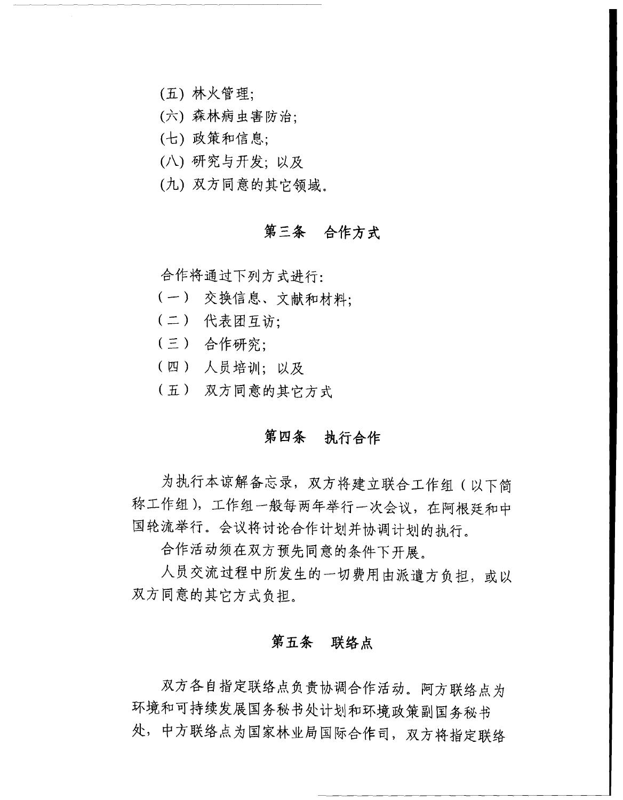- (五) 林火管理;
- (六) 森林病虫害防治:
- (七) 政策和信息:
- (八) 研究与开发: 以及
- (九) 双方同意的其它领域。

## 第三条 合作方式

合作将通过下列方式进行:

- (一) 交换信息、文献和材料;
- (二) 代表团互访;
- (三) 合作研究;
- (四) 人员培训;以及
- (五) 双方同意的其它方式

## 第四条 执行合作

为执行本谅解备忘录, 双方将建立联合工作组(以下简 称工作组),工作组一般每两年举行一次会议,在阿根廷和中 国轮流举行。会议将讨论合作计划并协调计划的执行。

合作活动须在双方预先同意的条件下开展。

人员交流过程中所发生的一切费用由派遣方负担, 或以 双方同意的其它方式负担。

## 第五条 联络点

双方各自指定联络点负责协调合作活动。阿方联络点为 环境和可持续发展国务秘书处计划和环境政策副国务秘书 处, 中方联络点为国家林业局国际合作司, 双方将指定联络